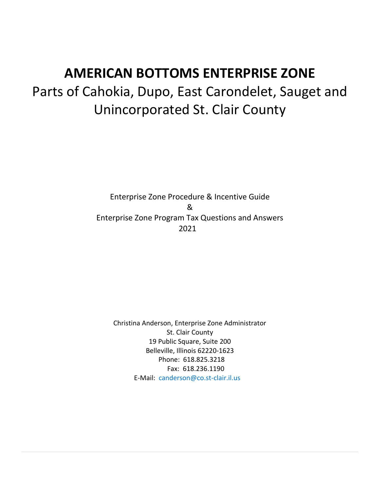# **AMERICAN BOTTOMS ENTERPRISE ZONE** Parts of Cahokia, Dupo, East Carondelet, Sauget and Unincorporated St. Clair County

Enterprise Zone Procedure & Incentive Guide & Enterprise Zone Program Tax Questions and Answers 2021

Christina Anderson, Enterprise Zone Administrator St. Clair County 19 Public Square, Suite 200 Belleville, Illinois 62220-1623 Phone: 618.825.3218 Fax: 618.236.1190 E-Mail: canderson@co.st-clair.il.us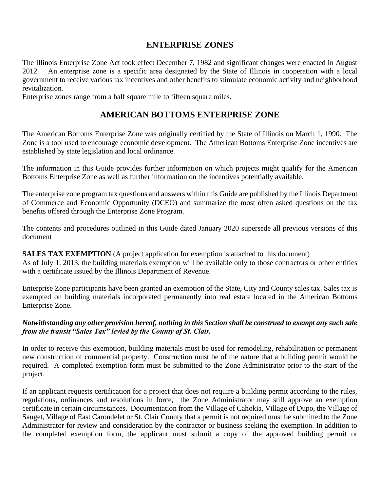## **ENTERPRISE ZONES**

The Illinois Enterprise Zone Act took effect December 7, 1982 and significant changes were enacted in August 2012. An enterprise zone is a specific area designated by the State of Illinois in cooperation with a local government to receive various tax incentives and other benefits to stimulate economic activity and neighborhood revitalization.

Enterprise zones range from a half square mile to fifteen square miles.

# **AMERICAN BOTTOMS ENTERPRISE ZONE**

The American Bottoms Enterprise Zone was originally certified by the State of Illinois on March 1, 1990. The Zone is a tool used to encourage economic development. The American Bottoms Enterprise Zone incentives are established by state legislation and local ordinance.

The information in this Guide provides further information on which projects might qualify for the American Bottoms Enterprise Zone as well as further information on the incentives potentially available.

The enterprise zone program tax questions and answers within this Guide are published by the Illinois Department of Commerce and Economic Opportunity (DCEO) and summarize the most often asked questions on the tax benefits offered through the Enterprise Zone Program.

The contents and procedures outlined in this Guide dated January 2020 supersede all previous versions of this document

# **SALES TAX EXEMPTION** (A project application for exemption is attached to this document)

As of July 1, 2013, the building materials exemption will be available only to those contractors or other entities with a certificate issued by the Illinois Department of Revenue.

Enterprise Zone participants have been granted an exemption of the State, City and County sales tax. Sales tax is exempted on building materials incorporated permanently into real estate located in the American Bottoms Enterprise Zone.

## *Notwithstanding any other provision hereof, nothing in this Section shall be construed to exempt any such sale from the transit "Sales Tax" levied by the County of St. Clair.*

In order to receive this exemption, building materials must be used for remodeling, rehabilitation or permanent new construction of commercial property. Construction must be of the nature that a building permit would be required. A completed exemption form must be submitted to the Zone Administrator prior to the start of the project.

If an applicant requests certification for a project that does not require a building permit according to the rules, regulations, ordinances and resolutions in force, the Zone Administrator may still approve an exemption certificate in certain circumstances. Documentation from the Village of Cahokia, Village of Dupo, the Village of Sauget, Village of East Carondelet or St. Clair County that a permit is not required must be submitted to the Zone Administrator for review and consideration by the contractor or business seeking the exemption. In addition to the completed exemption form, the applicant must submit a copy of the approved building permit or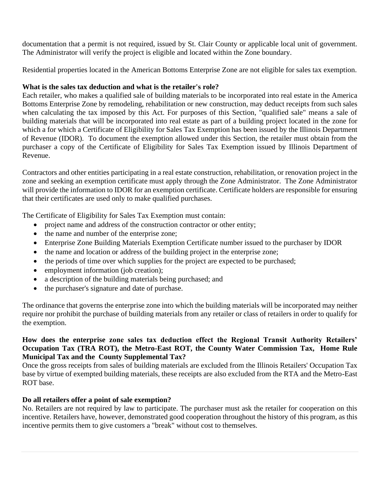documentation that a permit is not required, issued by St. Clair County or applicable local unit of government. The Administrator will verify the project is eligible and located within the Zone boundary.

Residential properties located in the American Bottoms Enterprise Zone are not eligible for sales tax exemption.

## **What is the sales tax deduction and what is the retailer's role?**

Each retailer, who makes a qualified sale of building materials to be incorporated into real estate in the America Bottoms Enterprise Zone by remodeling, rehabilitation or new construction, may deduct receipts from such sales when calculating the tax imposed by this Act. For purposes of this Section, "qualified sale" means a sale of building materials that will be incorporated into real estate as part of a building project located in the zone for which a for which a Certificate of Eligibility for Sales Tax Exemption has been issued by the Illinois Department of Revenue (IDOR). To document the exemption allowed under this Section, the retailer must obtain from the purchaser a copy of the Certificate of Eligibility for Sales Tax Exemption issued by Illinois Department of Revenue.

Contractors and other entities participating in a real estate construction, rehabilitation, or renovation project in the zone and seeking an exemption certificate must apply through the Zone Administrator. The Zone Administrator will provide the information to IDOR for an exemption certificate. Certificate holders are responsible for ensuring that their certificates are used only to make qualified purchases.

The Certificate of Eligibility for Sales Tax Exemption must contain:

- project name and address of the construction contractor or other entity;
- the name and number of the enterprise zone;
- Enterprise Zone Building Materials Exemption Certificate number issued to the purchaser by IDOR
- the name and location or address of the building project in the enterprise zone;
- the periods of time over which supplies for the project are expected to be purchased;
- employment information (job creation);
- a description of the building materials being purchased; and
- the purchaser's signature and date of purchase.

The ordinance that governs the enterprise zone into which the building materials will be incorporated may neither require nor prohibit the purchase of building materials from any retailer or class of retailers in order to qualify for the exemption.

## **How does the enterprise zone sales tax deduction effect the Regional Transit Authority Retailers' Occupation Tax (TRA ROT), the Metro-East ROT, the County Water Commission Tax, Home Rule Municipal Tax and the County Supplemental Tax?**

Once the gross receipts from sales of building materials are excluded from the Illinois Retailers' Occupation Tax base by virtue of exempted building materials, these receipts are also excluded from the RTA and the Metro-East ROT base.

## **Do all retailers offer a point of sale exemption?**

No. Retailers are not required by law to participate. The purchaser must ask the retailer for cooperation on this incentive. Retailers have, however, demonstrated good cooperation throughout the history of this program, as this incentive permits them to give customers a "break" without cost to themselves.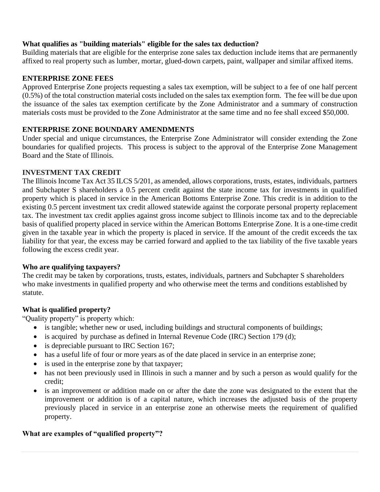## **What qualifies as "building materials" eligible for the sales tax deduction?**

Building materials that are eligible for the enterprise zone sales tax deduction include items that are permanently affixed to real property such as lumber, mortar, glued-down carpets, paint, wallpaper and similar affixed items.

## **ENTERPRISE ZONE FEES**

Approved Enterprise Zone projects requesting a sales tax exemption, will be subject to a fee of one half percent (0.5%) of the total construction material costs included on the sales tax exemption form. The fee will be due upon the issuance of the sales tax exemption certificate by the Zone Administrator and a summary of construction materials costs must be provided to the Zone Administrator at the same time and no fee shall exceed \$50,000.

## **ENTERPRISE ZONE BOUNDARY AMENDMENTS**

Under special and unique circumstances, the Enterprise Zone Administrator will consider extending the Zone boundaries for qualified projects. This process is subject to the approval of the Enterprise Zone Management Board and the State of Illinois.

## **INVESTMENT TAX CREDIT**

The Illinois Income Tax Act 35 ILCS 5/201, as amended, allows corporations, trusts, estates, individuals, partners and Subchapter S shareholders a 0.5 percent credit against the state income tax for investments in qualified property which is placed in service in the American Bottoms Enterprise Zone. This credit is in addition to the existing 0.5 percent investment tax credit allowed statewide against the corporate personal property replacement tax. The investment tax credit applies against gross income subject to Illinois income tax and to the depreciable basis of qualified property placed in service within the American Bottoms Enterprise Zone. It is a one-time credit given in the taxable year in which the property is placed in service. If the amount of the credit exceeds the tax liability for that year, the excess may be carried forward and applied to the tax liability of the five taxable years following the excess credit year.

## **Who are qualifying taxpayers?**

The credit may be taken by corporations, trusts, estates, individuals, partners and Subchapter S shareholders who make investments in qualified property and who otherwise meet the terms and conditions established by statute.

## **What is qualified property?**

"Quality property" is property which:

- is tangible; whether new or used, including buildings and structural components of buildings;
- is acquired by purchase as defined in Internal Revenue Code (IRC) Section 179 (d);
- is depreciable pursuant to IRC Section 167;
- has a useful life of four or more years as of the date placed in service in an enterprise zone;
- is used in the enterprise zone by that taxpayer;
- has not been previously used in Illinois in such a manner and by such a person as would qualify for the credit;
- is an improvement or addition made on or after the date the zone was designated to the extent that the improvement or addition is of a capital nature, which increases the adjusted basis of the property previously placed in service in an enterprise zone an otherwise meets the requirement of qualified property.

## **What are examples of "qualified property"?**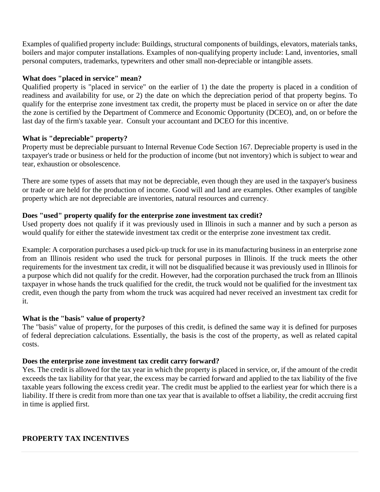Examples of qualified property include: Buildings, structural components of buildings, elevators, materials tanks, boilers and major computer installations. Examples of non-qualifying property include: Land, inventories, small personal computers, trademarks, typewriters and other small non-depreciable or intangible assets.

## **What does "placed in service" mean?**

Qualified property is "placed in service" on the earlier of 1) the date the property is placed in a condition of readiness and availability for use, or 2) the date on which the depreciation period of that property begins. To qualify for the enterprise zone investment tax credit, the property must be placed in service on or after the date the zone is certified by the Department of Commerce and Economic Opportunity (DCEO), and, on or before the last day of the firm's taxable year. Consult your accountant and DCEO for this incentive.

## **What is "depreciable" property?**

Property must be depreciable pursuant to Internal Revenue Code Section 167. Depreciable property is used in the taxpayer's trade or business or held for the production of income (but not inventory) which is subject to wear and tear, exhaustion or obsolescence.

There are some types of assets that may not be depreciable, even though they are used in the taxpayer's business or trade or are held for the production of income. Good will and land are examples. Other examples of tangible property which are not depreciable are inventories, natural resources and currency.

## **Does "used" property qualify for the enterprise zone investment tax credit?**

Used property does not qualify if it was previously used in Illinois in such a manner and by such a person as would qualify for either the statewide investment tax credit or the enterprise zone investment tax credit.

Example: A corporation purchases a used pick-up truck for use in its manufacturing business in an enterprise zone from an Illinois resident who used the truck for personal purposes in Illinois. If the truck meets the other requirements for the investment tax credit, it will not be disqualified because it was previously used in Illinois for a purpose which did not qualify for the credit. However, had the corporation purchased the truck from an Illinois taxpayer in whose hands the truck qualified for the credit, the truck would not be qualified for the investment tax credit, even though the party from whom the truck was acquired had never received an investment tax credit for it.

## **What is the "basis" value of property?**

The "basis" value of property, for the purposes of this credit, is defined the same way it is defined for purposes of federal depreciation calculations. Essentially, the basis is the cost of the property, as well as related capital costs.

## **Does the enterprise zone investment tax credit carry forward?**

Yes. The credit is allowed for the tax year in which the property is placed in service, or, if the amount of the credit exceeds the tax liability for that year, the excess may be carried forward and applied to the tax liability of the five taxable years following the excess credit year. The credit must be applied to the earliest year for which there is a liability. If there is credit from more than one tax year that is available to offset a liability, the credit accruing first in time is applied first.

## **PROPERTY TAX INCENTIVES**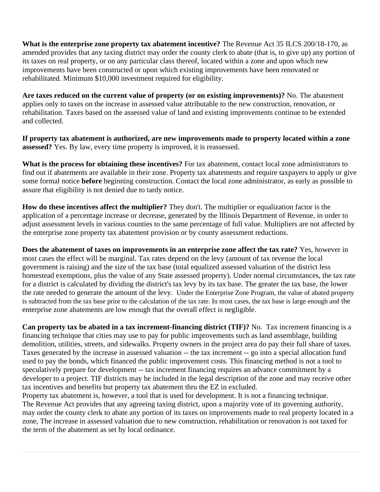**What is the enterprise zone property tax abatement incentive?** The Revenue Act 35 ILCS 200/18-170, as amended provides that any taxing district may order the county clerk to abate (that is, to give up) any portion of its taxes on real property, or on any particular class thereof, located within a zone and upon which new improvements have been constructed or upon which existing improvements have been renovated or rehabilitated. Minimum \$10,000 investment required for eligibility.

**Are taxes reduced on the current value of property (or on existing improvements)?** No. The abatement applies only to taxes on the increase in assessed value attributable to the new construction, renovation, or rehabilitation. Taxes based on the assessed value of land and existing improvements continue to be extended and collected.

**If property tax abatement is authorized, are new improvements made to property located within a zone assessed?** Yes. By law, every time property is improved, it is reassessed.

**What is the process for obtaining these incentives?** For tax abatement, contact local zone administrators to find out if abatements are available in their zone. Property tax abatements and require taxpayers to apply or give some formal notice **before** beginning construction. Contact the local zone administrator, as early as possible to assure that eligibility is not denied due to tardy notice.

**How do these incentives affect the multiplier?** They don't. The multiplier or equalization factor is the application of a percentage increase or decrease, generated by the Illinois Department of Revenue, in order to adjust assessment levels in various counties to the same percentage of full value. Multipliers are not affected by the enterprise zone property tax abatement provision or by county assessment reductions.

**Does the abatement of taxes on improvements in an enterprise zone affect the tax rate?** Yes, however in most cases the effect will be marginal. Tax rates depend on the levy (amount of tax revenue the local government is raising) and the size of the tax base (total equalized assessed valuation of the district less homestead exemptions, plus the value of any State assessed property). Under normal circumstances, the tax rate for a district is calculated by dividing the district's tax levy by its tax base. The greater the tax base, the lower the rate needed to generate the amount of the levy. Under the Enterprise Zone Program, the value of abated property is subtracted from the tax base prior to the calculation of the tax rate. In most cases, the tax base is large enough and the enterprise zone abatements are low enough that the overall effect is negligible.

**Can property tax be abated in a tax increment-financing district (TIF)?** No. Tax increment financing is a financing technique that cities may use to pay for public improvements such as land assemblage, building demolition, utilities, streets, and sidewalks. Property owners in the project area do pay their full share of taxes. Taxes generated by the increase in assessed valuation -- the tax increment -- go into a special allocation fund used to pay the bonds, which financed the public improvement costs. This financing method is not a tool to speculatively prepare for development -- tax increment financing requires an advance commitment by a developer to a project. TIF districts may be included in the legal description of the zone and may receive other tax incentives and benefits but property tax abatement thru the EZ in excluded.

Property tax abatement is, however, a tool that is used for development. It is not a financing technique. The Revenue Act provides that any agreeing taxing district, upon a majority vote of its governing authority, may order the county clerk to abate any portion of its taxes on improvements made to real property located in a zone, The increase in assessed valuation due to new construction, rehabilitation or renovation is not taxed for the term of the abatement as set by local ordinance.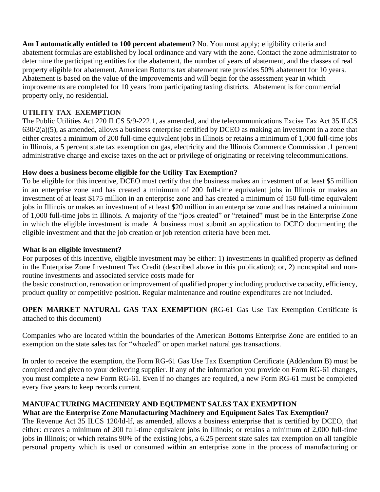**Am I automatically entitled to 100 percent abatement**? No. You must apply; eligibility criteria and abatement formulas are established by local ordinance and vary with the zone. Contact the zone administrator to determine the participating entities for the abatement, the number of years of abatement, and the classes of real property eligible for abatement. American Bottoms tax abatement rate provides 50% abatement for 10 years. Abatement is based on the value of the improvements and will begin for the assessment year in which improvements are completed for 10 years from participating taxing districts. Abatement is for commercial property only, no residential.

## **UTILITY TAX EXEMPTION**

The Public Utilities Act 220 ILCS 5/9-222.1, as amended, and the telecommunications Excise Tax Act 35 ILCS 630/2(a)(5), as amended, allows a business enterprise certified by DCEO as making an investment in a zone that either creates a minimum of 200 full-time equivalent jobs in Illinois or retains a minimum of 1,000 full-time jobs in Illinois, a 5 percent state tax exemption on gas, electricity and the Illinois Commerce Commission .1 percent administrative charge and excise taxes on the act or privilege of originating or receiving telecommunications.

## **How does a business become eligible for the Utility Tax Exemption?**

To be eligible for this incentive, DCEO must certify that the business makes an investment of at least \$5 million in an enterprise zone and has created a minimum of 200 full-time equivalent jobs in Illinois or makes an investment of at least \$175 million in an enterprise zone and has created a minimum of 150 full-time equivalent jobs in Illinois or makes an investment of at least \$20 million in an enterprise zone and has retained a minimum of 1,000 full-time jobs in Illinois. A majority of the "jobs created" or "retained" must be in the Enterprise Zone in which the eligible investment is made. A business must submit an application to DCEO documenting the eligible investment and that the job creation or job retention criteria have been met.

## **What is an eligible investment?**

For purposes of this incentive, eligible investment may be either: 1) investments in qualified property as defined in the Enterprise Zone Investment Tax Credit (described above in this publication); or, 2) noncapital and nonroutine investments and associated service costs made for

the basic construction, renovation or improvement of qualified property including productive capacity, efficiency, product quality or competitive position. Regular maintenance and routine expenditures are not included.

**OPEN MARKET NATURAL GAS TAX EXEMPTION (**RG-61 Gas Use Tax Exemption Certificate is attached to this document)

Companies who are located within the boundaries of the American Bottoms Enterprise Zone are entitled to an exemption on the state sales tax for "wheeled" or open market natural gas transactions.

In order to receive the exemption, the Form RG-61 Gas Use Tax Exemption Certificate (Addendum B) must be completed and given to your delivering supplier. If any of the information you provide on Form RG-61 changes, you must complete a new Form RG-61. Even if no changes are required, a new Form RG-61 must be completed every five years to keep records current.

## **MANUFACTURING MACHINERY AND EQUIPMENT SALES TAX EXEMPTION**

## **What are the Enterprise Zone Manufacturing Machinery and Equipment Sales Tax Exemption?**

The Revenue Act 35 ILCS 120/ld-lf, as amended, allows a business enterprise that is certified by DCEO, that either: creates a minimum of 200 full-time equivalent jobs in Illinois; or retains a minimum of 2,000 full-time jobs in Illinois; or which retains 90% of the existing jobs, a 6.25 percent state sales tax exemption on all tangible personal property which is used or consumed within an enterprise zone in the process of manufacturing or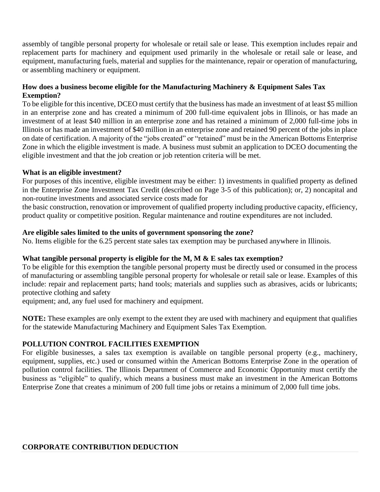assembly of tangible personal property for wholesale or retail sale or lease. This exemption includes repair and replacement parts for machinery and equipment used primarily in the wholesale or retail sale or lease, and equipment, manufacturing fuels, material and supplies for the maintenance, repair or operation of manufacturing, or assembling machinery or equipment.

## **How does a business become eligible for the Manufacturing Machinery & Equipment Sales Tax Exemption?**

To be eligible for this incentive, DCEO must certify that the business has made an investment of at least \$5 million in an enterprise zone and has created a minimum of 200 full-time equivalent jobs in Illinois, or has made an investment of at least \$40 million in an enterprise zone and has retained a minimum of 2,000 full-time jobs in Illinois or has made an investment of \$40 million in an enterprise zone and retained 90 percent of the jobs in place on date of certification. A majority of the "jobs created" or "retained" must be in the American Bottoms Enterprise Zone in which the eligible investment is made. A business must submit an application to DCEO documenting the eligible investment and that the job creation or job retention criteria will be met.

## **What is an eligible investment?**

For purposes of this incentive, eligible investment may be either: 1) investments in qualified property as defined in the Enterprise Zone Investment Tax Credit (described on Page 3-5 of this publication); or, 2) noncapital and non-routine investments and associated service costs made for

the basic construction, renovation or improvement of qualified property including productive capacity, efficiency, product quality or competitive position. Regular maintenance and routine expenditures are not included.

## **Are eligible sales limited to the units of government sponsoring the zone?**

No. Items eligible for the 6.25 percent state sales tax exemption may be purchased anywhere in Illinois.

## **What tangible personal property is eligible for the M, M & E sales tax exemption?**

To be eligible for this exemption the tangible personal property must be directly used or consumed in the process of manufacturing or assembling tangible personal property for wholesale or retail sale or lease. Examples of this include: repair and replacement parts; hand tools; materials and supplies such as abrasives, acids or lubricants; protective clothing and safety

equipment; and, any fuel used for machinery and equipment.

**NOTE:** These examples are only exempt to the extent they are used with machinery and equipment that qualifies for the statewide Manufacturing Machinery and Equipment Sales Tax Exemption.

## **POLLUTION CONTROL FACILITIES EXEMPTION**

For eligible businesses, a sales tax exemption is available on tangible personal property (e.g., machinery, equipment, supplies, etc.) used or consumed within the American Bottoms Enterprise Zone in the operation of pollution control facilities. The Illinois Department of Commerce and Economic Opportunity must certify the business as "eligible" to qualify, which means a business must make an investment in the American Bottoms Enterprise Zone that creates a minimum of 200 full time jobs or retains a minimum of 2,000 full time jobs.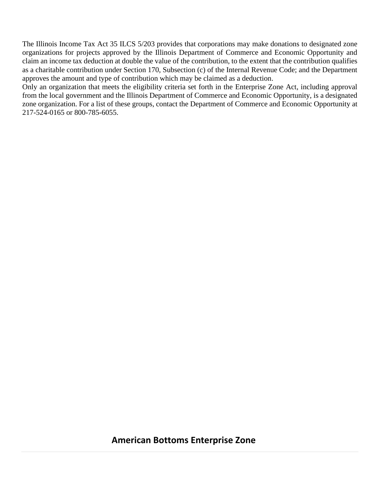The Illinois Income Tax Act 35 ILCS 5/203 provides that corporations may make donations to designated zone organizations for projects approved by the Illinois Department of Commerce and Economic Opportunity and claim an income tax deduction at double the value of the contribution, to the extent that the contribution qualifies as a charitable contribution under Section 170, Subsection (c) of the Internal Revenue Code; and the Department approves the amount and type of contribution which may be claimed as a deduction.

Only an organization that meets the eligibility criteria set forth in the Enterprise Zone Act, including approval from the local government and the Illinois Department of Commerce and Economic Opportunity, is a designated zone organization. For a list of these groups, contact the Department of Commerce and Economic Opportunity at 217-524-0165 or 800-785-6055.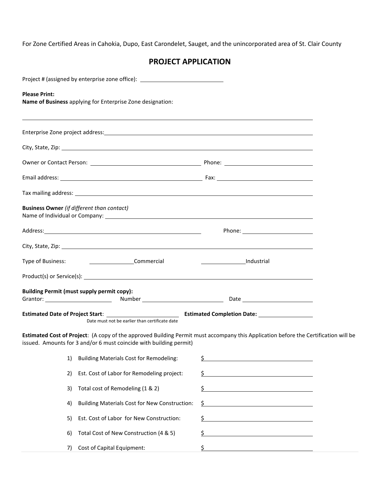For Zone Certified Areas in Cahokia, Dupo, East Carondelet, Sauget, and the unincorporated area of St. Clair County

## **PROJECT APPLICATION**

|                                                   | Project # (assigned by enterprise zone office): ________________________________ |                                                                                                                                                                                                                                |  |
|---------------------------------------------------|----------------------------------------------------------------------------------|--------------------------------------------------------------------------------------------------------------------------------------------------------------------------------------------------------------------------------|--|
| <b>Please Print:</b>                              | Name of Business applying for Enterprise Zone designation:                       |                                                                                                                                                                                                                                |  |
|                                                   |                                                                                  |                                                                                                                                                                                                                                |  |
|                                                   |                                                                                  |                                                                                                                                                                                                                                |  |
|                                                   |                                                                                  |                                                                                                                                                                                                                                |  |
|                                                   |                                                                                  |                                                                                                                                                                                                                                |  |
|                                                   |                                                                                  |                                                                                                                                                                                                                                |  |
| <b>Business Owner</b> (if different than contact) |                                                                                  |                                                                                                                                                                                                                                |  |
|                                                   |                                                                                  |                                                                                                                                                                                                                                |  |
|                                                   |                                                                                  |                                                                                                                                                                                                                                |  |
| Type of Business:                                 | Commercial                                                                       |                                                                                                                                                                                                                                |  |
|                                                   |                                                                                  |                                                                                                                                                                                                                                |  |
| <b>Building Permit (must supply permit copy):</b> |                                                                                  | Grantor: 2000 Contract Contract Communication Communication Communication Communication Communication Communication Communication Communication Communication Communication Communication Communication Communication Communic |  |
|                                                   | Date must not be earlier than certificate date                                   |                                                                                                                                                                                                                                |  |
|                                                   | issued. Amounts for 3 and/or 6 must coincide with building permit)               | Estimated Cost of Project: (A copy of the approved Building Permit must accompany this Application before the Certification will be                                                                                            |  |
| 1)                                                | <b>Building Materials Cost for Remodeling:</b>                                   | \$<br><u> 1980 - Johann Barbara, martin a</u>                                                                                                                                                                                  |  |
| 2)                                                | Est. Cost of Labor for Remodeling project:                                       | \$                                                                                                                                                                                                                             |  |
| 3)                                                | Total cost of Remodeling (1 & 2)                                                 | \$<br><u> 1980 - Johann Barn, mars ann an t-Amhain Aonaich an t-Aonaich an t-Aonaich ann an t-Aonaich ann an t-Aonaich</u>                                                                                                     |  |
| 4)                                                | <b>Building Materials Cost for New Construction:</b>                             | \$                                                                                                                                                                                                                             |  |
| 5)                                                | Est. Cost of Labor for New Construction:                                         | \$                                                                                                                                                                                                                             |  |
| 6)                                                | Total Cost of New Construction (4 & 5)                                           | \$                                                                                                                                                                                                                             |  |
| 7)                                                | Cost of Capital Equipment:                                                       | \$<br><u> 1989 - Johann Barbara, martxa alemaniar arg</u>                                                                                                                                                                      |  |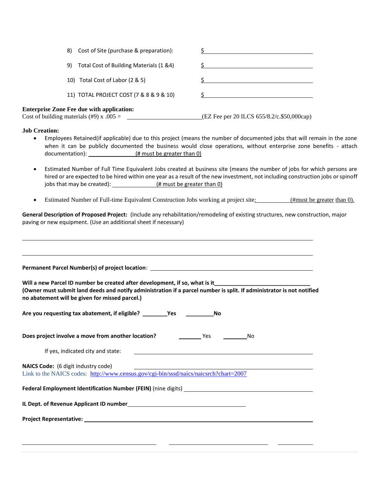| Cost of Site (purchase & preparation):<br>8)       |                                            |
|----------------------------------------------------|--------------------------------------------|
| Total Cost of Building Materials (1 &4)<br>9)      |                                            |
| Total Cost of Labor (2 & 5)<br>10)                 |                                            |
| 11) TOTAL PROJECT COST (7 & 8 & 9 & 10)            |                                            |
| <b>Enterprise Zone Fee due with application:</b>   |                                            |
| Cost of building materials $(\text{\#}9)$ x .005 = | (EZ Fee per 20 ILCS 655/8.2/c.\$50,000cap) |

**Job Creation:** 

- Employees Retained(if applicable) due to this project (means the number of documented jobs that will remain in the zone when it can be publicly documented the business would close operations, without enterprise zone benefits - attach documentation):  $($  # must be greater than 0)
- Estimated Number of Full Time Equivalent Jobs created at business site (means the number of jobs for which persons are hired or are expected to be hired within one year as a result of the new investment, not including construction jobs or spinoff jobs that may be created):  $($  # must be greater than 0)
- Estimated Number of Full-time Equivalent Construction Jobs working at project site: (#must be greater than 0).

**General Description of Proposed Project:** (Include any rehabilitation/remodeling of existing structures, new construction, major paving or new equipment. (Use an additional sheet if necessary)

| Permanent Parcel Number(s) of project location: Network and the control of the control of the control of the control of the control of the control of the control of the control of the control of the control of the control<br>Will a new Parcel ID number be created after development, if so, what is it________________________<br>(Owner must submit land deeds and notify administration if a parcel number is split. If administrator is not notified |  |
|---------------------------------------------------------------------------------------------------------------------------------------------------------------------------------------------------------------------------------------------------------------------------------------------------------------------------------------------------------------------------------------------------------------------------------------------------------------|--|
| no abatement will be given for missed parcel.)                                                                                                                                                                                                                                                                                                                                                                                                                |  |
|                                                                                                                                                                                                                                                                                                                                                                                                                                                               |  |
|                                                                                                                                                                                                                                                                                                                                                                                                                                                               |  |
|                                                                                                                                                                                                                                                                                                                                                                                                                                                               |  |
| Link to the NAICS codes: http://www.census.gov/cgi-bin/sssd/naics/naicsrch?chart=2007                                                                                                                                                                                                                                                                                                                                                                         |  |
|                                                                                                                                                                                                                                                                                                                                                                                                                                                               |  |
|                                                                                                                                                                                                                                                                                                                                                                                                                                                               |  |
|                                                                                                                                                                                                                                                                                                                                                                                                                                                               |  |
|                                                                                                                                                                                                                                                                                                                                                                                                                                                               |  |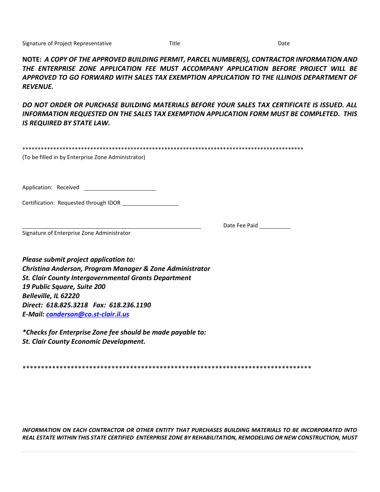**NOTE:** *A COPY OF THE APPROVED BUILDING PERMIT, PARCEL NUMBER(S), CONTRACTOR INFORMATION AND THE ENTERPRISE ZONE APPLICATION FEE MUST ACCOMPANY APPLICATION BEFORE PROJECT WILL BE APPROVED TO GO FORWARD WITH SALES TAX EXEMPTION APPLICATION TO THE ILLINOIS DEPARTMENT OF REVENUE.* 

*DO NOT ORDER OR PURCHASE BUILDING MATERIALS BEFORE YOUR SALES TAX CERTIFICATE IS ISSUED. ALL INFORMATION REQUESTED ON THE SALES TAX EXEMPTION APPLICATION FORM MUST BE COMPLETED. THIS IS REQUIRED BY STATE LAW.* 

| (To be filled in by Enterprise Zone Administrator)                                                                                                                                                                      |               |
|-------------------------------------------------------------------------------------------------------------------------------------------------------------------------------------------------------------------------|---------------|
| Certification: Requested through IDOR __________________                                                                                                                                                                |               |
| Signature of Enterprise Zone Administrator                                                                                                                                                                              | Date Fee Paid |
| Please submit project application to:<br>Christina Anderson, Program Manager & Zone Administrator<br><b>St. Clair County Intergovernmental Grants Department</b><br>19 Public Square, Suite 200<br>Belleville, IL 62220 |               |

*Direct: 618.825.3218 Fax: 618.236.1190 E-Mail: [canderson@co.st-clair.il.us](mailto:canderson@co.st-clair.il.us)*

*\*Checks for Enterprise Zone fee should be made payable to: St. Clair County Economic Development.*

\*\*\*\*\*\*\*\*\*\*\*\*\*\*\*\*\*\*\*\*\*\*\*\*\*\*\*\*\*\*\*\*\*\*\*\*\*\*\*\*\*\*\*\*\*\*\*\*\*\*\*\*\*\*\*\*\*\*\*\*\*\*\*\*\*\*\*\*\*\*\*\*\*\*\*\*\*\*

*INFORMATION ON EACH CONTRACTOR OR OTHER ENTITY THAT PURCHASES BUILDING MATERIALS TO BE INCORPORATED INTO REAL ESTATE WITHIN THIS STATE CERTIFIED ENTERPRISE ZONE BY REHABILITATION, REMODELING OR NEW CONSTRUCTION, MUST*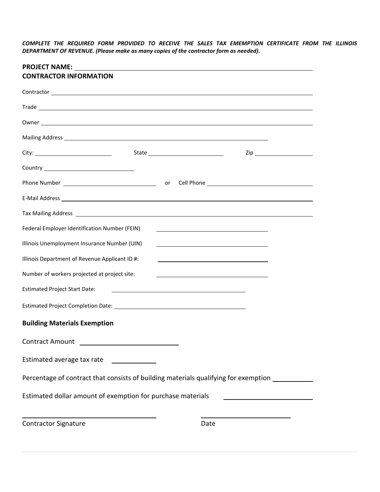*COMPLETE THE REQUIRED FORM PROVIDED TO RECEIVE THE SALES TAX EMEMPTION CERTIFICATE FROM THE ILLINOIS DEPARTMENT OF REVENUE. (Please make as many copies of the contractor form as needed).*

| <b>PROJECT NAME:</b><br><b>CONTRACTOR INFORMATION</b>                                                                                                                                                                                |                                                                                                                        |                                                                                                                       |                                                         |  |
|--------------------------------------------------------------------------------------------------------------------------------------------------------------------------------------------------------------------------------------|------------------------------------------------------------------------------------------------------------------------|-----------------------------------------------------------------------------------------------------------------------|---------------------------------------------------------|--|
|                                                                                                                                                                                                                                      |                                                                                                                        |                                                                                                                       |                                                         |  |
|                                                                                                                                                                                                                                      |                                                                                                                        |                                                                                                                       |                                                         |  |
|                                                                                                                                                                                                                                      |                                                                                                                        |                                                                                                                       |                                                         |  |
|                                                                                                                                                                                                                                      |                                                                                                                        |                                                                                                                       |                                                         |  |
|                                                                                                                                                                                                                                      |                                                                                                                        |                                                                                                                       | $\mathsf{Zip} \hspace{.5cm} \underbrace{\hspace{.5cm}}$ |  |
|                                                                                                                                                                                                                                      |                                                                                                                        |                                                                                                                       |                                                         |  |
|                                                                                                                                                                                                                                      |                                                                                                                        |                                                                                                                       |                                                         |  |
|                                                                                                                                                                                                                                      |                                                                                                                        |                                                                                                                       |                                                         |  |
| Tax Mailing Address <b>example and the control of the control of the control of the control of the control of the control of the control of the control of the control of the control of the control of the control of the contr</b> |                                                                                                                        |                                                                                                                       |                                                         |  |
| Federal Employer Identification Number (FEIN)                                                                                                                                                                                        |                                                                                                                        | <u> 1989 - Johann Barn, mars ann an t-Amhainn an t-Amhainn an t-Amhainn an t-Amhainn an t-Amhainn an t-Amhainn an</u> |                                                         |  |
| Illinois Unemployment Insurance Number (UIN)                                                                                                                                                                                         |                                                                                                                        | <u> 1989 - Johann Barbara, martin amerikan basar dan berasal dalam basa dalam basar dalam basar dalam basa dalam</u>  |                                                         |  |
| Illinois Department of Revenue Applicant ID #:                                                                                                                                                                                       |                                                                                                                        | <u> 1989 - Johann Barbara, martxa alemaniar argumento de la contrada de la contrada de la contrada de la contrad</u>  |                                                         |  |
| Number of workers projected at project site:                                                                                                                                                                                         |                                                                                                                        |                                                                                                                       |                                                         |  |
| <b>Estimated Project Start Date:</b>                                                                                                                                                                                                 |                                                                                                                        |                                                                                                                       |                                                         |  |
|                                                                                                                                                                                                                                      |                                                                                                                        |                                                                                                                       |                                                         |  |
| <b>Building Materials Exemption</b>                                                                                                                                                                                                  |                                                                                                                        |                                                                                                                       |                                                         |  |
| <b>Contract Amount</b>                                                                                                                                                                                                               |                                                                                                                        |                                                                                                                       |                                                         |  |
| Estimated average tax rate                                                                                                                                                                                                           | <u> a shekara ta 1999 a shekara ta 1991 a shekara ta 1991 a shekara ta 1991 a shekara ta 1991 a shekara ta 1991 a </u> |                                                                                                                       |                                                         |  |
| Percentage of contract that consists of building materials qualifying for exemption __________                                                                                                                                       |                                                                                                                        |                                                                                                                       |                                                         |  |
| Estimated dollar amount of exemption for purchase materials                                                                                                                                                                          |                                                                                                                        |                                                                                                                       |                                                         |  |
| <b>Contractor Signature</b>                                                                                                                                                                                                          |                                                                                                                        | Date                                                                                                                  |                                                         |  |